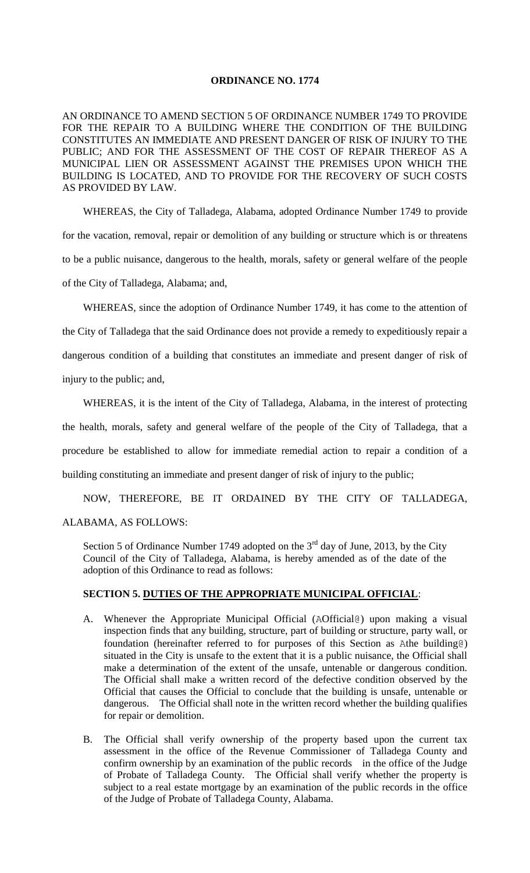## **ORDINANCE NO. 1774**

AN ORDINANCE TO AMEND SECTION 5 OF ORDINANCE NUMBER 1749 TO PROVIDE FOR THE REPAIR TO A BUILDING WHERE THE CONDITION OF THE BUILDING CONSTITUTES AN IMMEDIATE AND PRESENT DANGER OF RISK OF INJURY TO THE PUBLIC; AND FOR THE ASSESSMENT OF THE COST OF REPAIR THEREOF AS A MUNICIPAL LIEN OR ASSESSMENT AGAINST THE PREMISES UPON WHICH THE BUILDING IS LOCATED, AND TO PROVIDE FOR THE RECOVERY OF SUCH COSTS AS PROVIDED BY LAW.

WHEREAS, the City of Talladega, Alabama, adopted Ordinance Number 1749 to provide for the vacation, removal, repair or demolition of any building or structure which is or threatens to be a public nuisance, dangerous to the health, morals, safety or general welfare of the people of the City of Talladega, Alabama; and,

WHEREAS, since the adoption of Ordinance Number 1749, it has come to the attention of the City of Talladega that the said Ordinance does not provide a remedy to expeditiously repair a dangerous condition of a building that constitutes an immediate and present danger of risk of injury to the public; and,

WHEREAS, it is the intent of the City of Talladega, Alabama, in the interest of protecting the health, morals, safety and general welfare of the people of the City of Talladega, that a procedure be established to allow for immediate remedial action to repair a condition of a building constituting an immediate and present danger of risk of injury to the public;

NOW, THEREFORE, BE IT ORDAINED BY THE CITY OF TALLADEGA, ALABAMA, AS FOLLOWS:

Section 5 of Ordinance Number 1749 adopted on the  $3<sup>rd</sup>$  day of June, 2013, by the City Council of the City of Talladega, Alabama, is hereby amended as of the date of the adoption of this Ordinance to read as follows:

## **SECTION 5. DUTIES OF THE APPROPRIATE MUNICIPAL OFFICIAL**:

- A. Whenever the Appropriate Municipal Official (AOfficial@) upon making a visual inspection finds that any building, structure, part of building or structure, party wall, or foundation (hereinafter referred to for purposes of this Section as Athe building@) situated in the City is unsafe to the extent that it is a public nuisance, the Official shall make a determination of the extent of the unsafe, untenable or dangerous condition. The Official shall make a written record of the defective condition observed by the Official that causes the Official to conclude that the building is unsafe, untenable or dangerous. The Official shall note in the written record whether the building qualifies for repair or demolition.
- B. The Official shall verify ownership of the property based upon the current tax assessment in the office of the Revenue Commissioner of Talladega County and confirm ownership by an examination of the public records in the office of the Judge of Probate of Talladega County. The Official shall verify whether the property is subject to a real estate mortgage by an examination of the public records in the office of the Judge of Probate of Talladega County, Alabama.